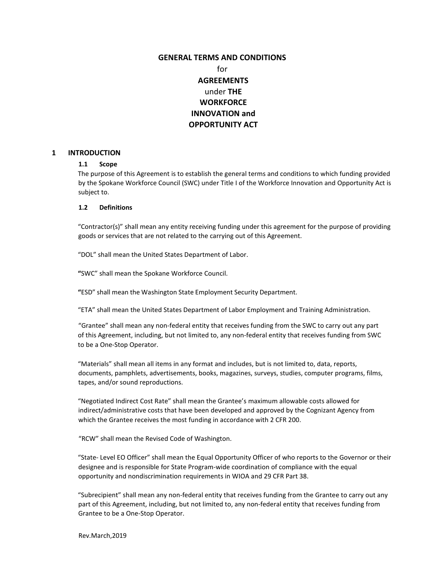# **GENERAL TERMS AND CONDITIONS**  for **AGREEMENTS**  under **THE WORKFORCE INNOVATION and OPPORTUNITY ACT**

### **1 INTRODUCTION**

### **1.1 Scope**

The purpose of this Agreement is to establish the general terms and conditions to which funding provided by the Spokane Workforce Council (SWC) under Title I of the Workforce Innovation and Opportunity Act is subject to.

### **1.2 Definitions**

"Contractor(s)" shall mean any entity receiving funding under this agreement for the purpose of providing goods or services that are not related to the carrying out of this Agreement.

"DOL" shall mean the United States Department of Labor.

**"**SWC" shall mean the Spokane Workforce Council.

**"**ESD" shall mean the Washington State Employment Security Department.

"ETA" shall mean the United States Department of Labor Employment and Training Administration.

"Grantee" shall mean any non-federal entity that receives funding from the SWC to carry out any part of this Agreement, including, but not limited to, any non-federal entity that receives funding from SWC to be a One-Stop Operator.

"Materials" shall mean all items in any format and includes, but is not limited to, data, reports, documents, pamphlets, advertisements, books, magazines, surveys, studies, computer programs, films, tapes, and/or sound reproductions.

"Negotiated Indirect Cost Rate" shall mean the Grantee's maximum allowable costs allowed for indirect/administrative costs that have been developed and approved by the Cognizant Agency from which the Grantee receives the most funding in accordance with 2 CFR 200.

"RCW" shall mean the Revised Code of Washington.

"State- Level EO Officer" shall mean the Equal Opportunity Officer of who reports to the Governor or their designee and is responsible for State Program-wide coordination of compliance with the equal opportunity and nondiscrimination requirements in WIOA and 29 CFR Part 38.

"Subrecipient" shall mean any non-federal entity that receives funding from the Grantee to carry out any part of this Agreement, including, but not limited to, any non-federal entity that receives funding from Grantee to be a One-Stop Operator.

Rev.March,2019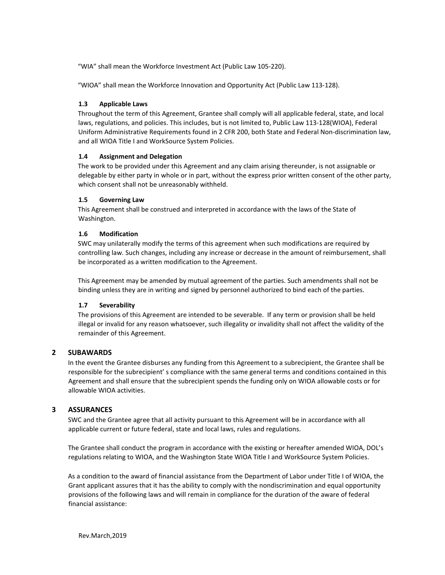"WIA" shall mean the Workforce Investment Act (Public Law 105-220).

"WIOA" shall mean the Workforce Innovation and Opportunity Act (Public Law 113-128).

## **1.3 Applicable Laws**

Throughout the term of this Agreement, Grantee shall comply will all applicable federal, state, and local laws, regulations, and policies. This includes, but is not limited to, Public Law 113-128(WIOA), Federal Uniform Administrative Requirements found in 2 CFR 200, both State and Federal Non-discrimination law, and all WIOA Title I and WorkSource System Policies.

### **1.4 Assignment and Delegation**

The work to be provided under this Agreement and any claim arising thereunder, is not assignable or delegable by either party in whole or in part, without the express prior written consent of the other party, which consent shall not be unreasonably withheld.

### **1.5 Governing Law**

This Agreement shall be construed and interpreted in accordance with the laws of the State of Washington.

### **1.6 Modification**

SWC may unilaterally modify the terms of this agreement when such modifications are required by controlling law. Such changes, including any increase or decrease in the amount of reimbursement, shall be incorporated as a written modification to the Agreement.

This Agreement may be amended by mutual agreement of the parties. Such amendments shall not be binding unless they are in writing and signed by personnel authorized to bind each of the parties.

### **1.7 Severability**

The provisions of this Agreement are intended to be severable. If any term or provision shall be held illegal or invalid for any reason whatsoever, such illegality or invalidity shall not affect the validity of the remainder of this Agreement.

## **2 SUBAWARDS**

In the event the Grantee disburses any funding from this Agreement to a subrecipient, the Grantee shall be responsible for the subrecipient' s compliance with the same general terms and conditions contained in this Agreement and shall ensure that the subrecipient spends the funding only on WIOA allowable costs or for allowable WIOA activities.

## **3 ASSURANCES**

SWC and the Grantee agree that all activity pursuant to this Agreement will be in accordance with all applicable current or future federal, state and local laws, rules and regulations.

The Grantee shall conduct the program in accordance with the existing or hereafter amended WIOA, DOL's regulations relating to WIOA, and the Washington State WIOA Title I and WorkSource System Policies.

As a condition to the award of financial assistance from the Department of Labor under Title I of WIOA, the Grant applicant assures that it has the ability to comply with the nondiscrimination and equal opportunity provisions of the following laws and will remain in compliance for the duration of the aware of federal financial assistance: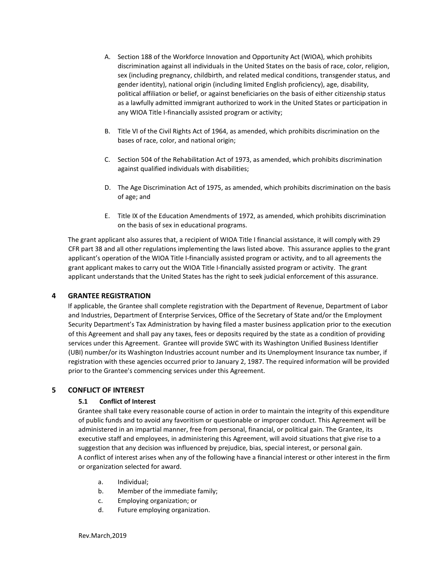- A. Section 188 of the Workforce Innovation and Opportunity Act (WIOA), which prohibits discrimination against all individuals in the United States on the basis of race, color, religion, sex (including pregnancy, childbirth, and related medical conditions, transgender status, and gender identity), national origin (including limited English proficiency), age, disability, political affiliation or belief, or against beneficiaries on the basis of either citizenship status as a lawfully admitted immigrant authorized to work in the United States or participation in any WIOA Title I-financially assisted program or activity;
- B. Title VI of the Civil Rights Act of 1964, as amended, which prohibits discrimination on the bases of race, color, and national origin;
- C. Section 504 of the Rehabilitation Act of 1973, as amended, which prohibits discrimination against qualified individuals with disabilities;
- D. The Age Discrimination Act of 1975, as amended, which prohibits discrimination on the basis of age; and
- E. Title IX of the Education Amendments of 1972, as amended, which prohibits discrimination on the basis of sex in educational programs.

The grant applicant also assures that, a recipient of WIOA Title I financial assistance, it will comply with 29 CFR part 38 and all other regulations implementing the laws listed above. This assurance applies to the grant applicant's operation of the WIOA Title I-financially assisted program or activity, and to all agreements the grant applicant makes to carry out the WIOA Title I-financially assisted program or activity. The grant applicant understands that the United States has the right to seek judicial enforcement of this assurance.

## **4 GRANTEE REGISTRATION**

If applicable, the Grantee shall complete registration with the Department of Revenue, Department of Labor and Industries, Department of Enterprise Services, Office of the Secretary of State and/or the Employment Security Department's Tax Administration by having filed a master business application prior to the execution of this Agreement and shall pay any taxes, fees or deposits required by the state as a condition of providing services under this Agreement. Grantee will provide SWC with its Washington Unified Business Identifier (UBI) number/or its Washington Industries account number and its Unemployment Insurance tax number, if registration with these agencies occurred prior to January 2, 1987. The required information will be provided prior to the Grantee's commencing services under this Agreement.

### **5 CONFLICT OF INTEREST**

### **5.1 Conflict of Interest**

Grantee shall take every reasonable course of action in order to maintain the integrity of this expenditure of public funds and to avoid any favoritism or questionable or improper conduct. This Agreement will be administered in an impartial manner, free from personal, financial, or political gain. The Grantee, its executive staff and employees, in administering this Agreement, will avoid situations that give rise to a suggestion that any decision was influenced by prejudice, bias, special interest, or personal gain. A conflict of interest arises when any of the following have a financial interest or other interest in the firm or organization selected for award.

- a. Individual;
- b. Member of the immediate family;
- c. Employing organization; or
- d. Future employing organization.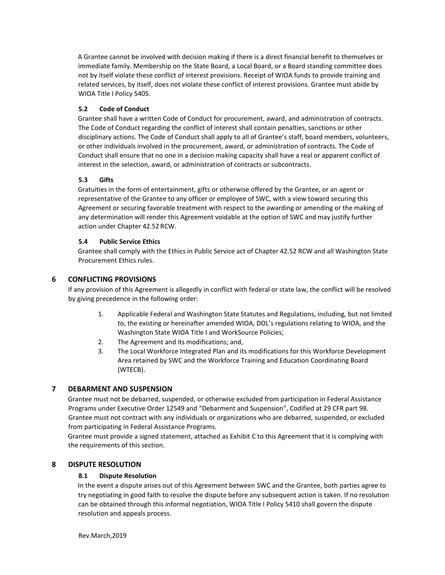A Grantee cannot be involved with decision making if there is a direct financial benefit to themselves or immediate family. Membership on the State Board, a Local Board, or a Board standing committee does not by itself violate these conflict of interest provisions. Receipt of WIOA funds to provide training and related services, by itself, does not violate these conflict of interest provisions. Grantee must abide by WIOA Title I Policy 5405.

## **5.2 Code of Conduct**

Grantee shall have a written Code of Conduct for procurement, award, and administration of contracts. The Code of Conduct regarding the conflict of interest shall contain penalties, sanctions or other disciplinary actions. The Code of Conduct shall apply to all of Grantee's staff, board members, volunteers, or other individuals involved in the procurement, award, or administration of contracts. The Code of Conduct shall ensure that no one in a decision making capacity shall have a real or apparent conflict of interest in the selection, award, or administration of contracts or subcontracts.

## **5.3 Gifts**

Gratuities in the form of entertainment, gifts or otherwise offered by the Grantee, or an agent or representative of the Grantee to any officer or employee of SWC, with a view toward securing this Agreement or securing favorable treatment with respect to the awarding or amending or the making of any determination will render this Agreement voidable at the option of SWC and may justify further action under Chapter 42.52 RCW.

## **5.4 Public Service Ethics**

Grantee shall comply with the Ethics in Public Service act of Chapter 42.52 RCW and all Washington State Procurement Ethics rules.

## **6 CONFLICTING PROVISIONS**

If any provision of this Agreement is allegedly in conflict with federal or state law, the conflict will be resolved by giving precedence in the following order:

- 1. Applicable Federal and Washington State Statutes and Regulations, including, but not limited to, the existing or hereinafter amended WIOA, DOL's regulations relating to WIOA, and the Washington State WIOA Title I and WorkSource Policies;
- 2. The Agreement and its modifications; and,
- 3. The Local Workforce Integrated Plan and its modifications for this Workforce Development Area retained by SWC and the Workforce Training and Education Coordinating Board (WTECB).

## **7 DEBARMENT AND SUSPENSION**

Grantee must not be debarred, suspended, or otherwise excluded from participation in Federal Assistance Programs under Executive Order 12549 and "Debarment and Suspension", Codified at 29 CFR part 98. Grantee must not contract with any individuals or organizations who are debarred, suspended, or excluded from participating in Federal Assistance Programs.

Grantee must provide a signed statement, attached as Exhibit C to this Agreement that it is complying with the requirements of this section.

## **8 DISPUTE RESOLUTION**

## **8.1 Dispute Resolution**

In the event a dispute arises out of this Agreement between SWC and the Grantee, both parties agree to try negotiating in good faith to resolve the dispute before any subsequent action is taken. If no resolution can be obtained through this informal negotiation, WIOA Title I Policy 5410 shall govern the dispute resolution and appeals process.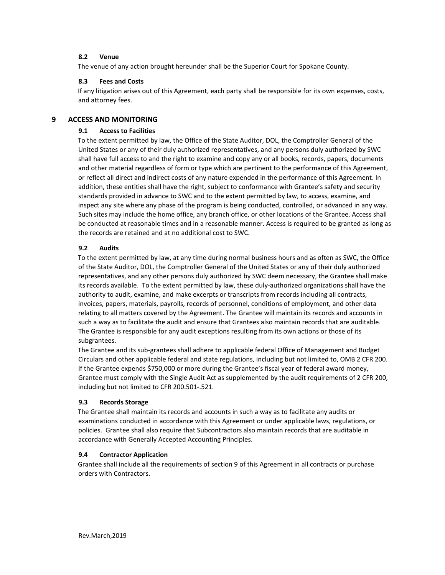## **8.2 Venue**

The venue of any action brought hereunder shall be the Superior Court for Spokane County.

## **8.3 Fees and Costs**

If any litigation arises out of this Agreement, each party shall be responsible for its own expenses, costs, and attorney fees.

## **9 ACCESS AND MONITORING**

## **9.1 Access to Facilities**

To the extent permitted by law, the Office of the State Auditor, DOL, the Comptroller General of the United States or any of their duly authorized representatives, and any persons duly authorized by SWC shall have full access to and the right to examine and copy any or all books, records, papers, documents and other material regardless of form or type which are pertinent to the performance of this Agreement, or reflect all direct and indirect costs of any nature expended in the performance of this Agreement. In addition, these entities shall have the right, subject to conformance with Grantee's safety and security standards provided in advance to SWC and to the extent permitted by law, to access, examine, and inspect any site where any phase of the program is being conducted, controlled, or advanced in any way. Such sites may include the home office, any branch office, or other locations of the Grantee. Access shall be conducted at reasonable times and in a reasonable manner. Access is required to be granted as long as the records are retained and at no additional cost to SWC.

## **9.2 Audits**

To the extent permitted by law, at any time during normal business hours and as often as SWC, the Office of the State Auditor, DOL, the Comptroller General of the United States or any of their duly authorized representatives, and any other persons duly authorized by SWC deem necessary, the Grantee shall make its records available. To the extent permitted by law, these duly-authorized organizations shall have the authority to audit, examine, and make excerpts or transcripts from records including all contracts, invoices, papers, materials, payrolls, records of personnel, conditions of employment, and other data relating to all matters covered by the Agreement. The Grantee will maintain its records and accounts in such a way as to facilitate the audit and ensure that Grantees also maintain records that are auditable. The Grantee is responsible for any audit exceptions resulting from its own actions or those of its subgrantees.

The Grantee and its sub-grantees shall adhere to applicable federal Office of Management and Budget Circulars and other applicable federal and state regulations, including but not limited to, OMB 2 CFR 200. If the Grantee expends \$750,000 or more during the Grantee's fiscal year of federal award money, Grantee must comply with the Single Audit Act as supplemented by the audit requirements of 2 CFR 200, including but not limited to CFR 200.501-.521.

## **9.3 Records Storage**

The Grantee shall maintain its records and accounts in such a way as to facilitate any audits or examinations conducted in accordance with this Agreement or under applicable laws, regulations, or policies. Grantee shall also require that Subcontractors also maintain records that are auditable in accordance with Generally Accepted Accounting Principles.

## **9.4 Contractor Application**

Grantee shall include all the requirements of section 9 of this Agreement in all contracts or purchase orders with Contractors.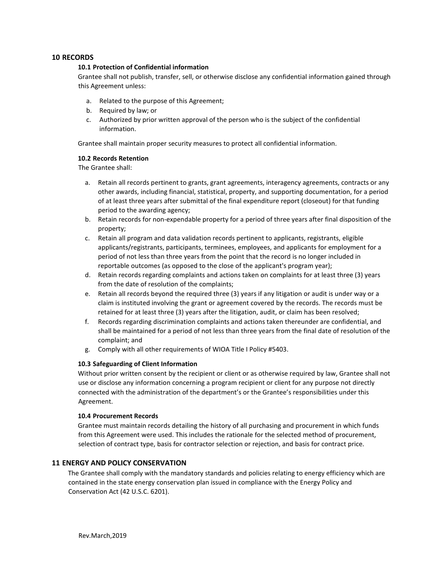## **10 RECORDS**

### **10.1 Protection of Confidential information**

Grantee shall not publish, transfer, sell, or otherwise disclose any confidential information gained through this Agreement unless:

- a. Related to the purpose of this Agreement;
- b. Required by law; or
- c. Authorized by prior written approval of the person who is the subject of the confidential information.

Grantee shall maintain proper security measures to protect all confidential information.

### **10.2 Records Retention**

The Grantee shall:

- a. Retain all records pertinent to grants, grant agreements, interagency agreements, contracts or any other awards, including financial, statistical, property, and supporting documentation, for a period of at least three years after submittal of the final expenditure report (closeout) for that funding period to the awarding agency;
- b. Retain records for non-expendable property for a period of three years after final disposition of the property;
- c. Retain all program and data validation records pertinent to applicants, registrants, eligible applicants/registrants, participants, terminees, employees, and applicants for employment for a period of not less than three years from the point that the record is no longer included in reportable outcomes (as opposed to the close of the applicant's program year);
- d. Retain records regarding complaints and actions taken on complaints for at least three (3) years from the date of resolution of the complaints;
- e. Retain all records beyond the required three (3) years if any litigation or audit is under way or a claim is instituted involving the grant or agreement covered by the records. The records must be retained for at least three (3) years after the litigation, audit, or claim has been resolved;
- f. Records regarding discrimination complaints and actions taken thereunder are confidential, and shall be maintained for a period of not less than three years from the final date of resolution of the complaint; and
- g. Comply with all other requirements of WIOA Title I Policy #5403.

## **10.3 Safeguarding of Client Information**

Without prior written consent by the recipient or client or as otherwise required by law, Grantee shall not use or disclose any information concerning a program recipient or client for any purpose not directly connected with the administration of the department's or the Grantee's responsibilities under this Agreement.

### **10.4 Procurement Records**

Grantee must maintain records detailing the history of all purchasing and procurement in which funds from this Agreement were used. This includes the rationale for the selected method of procurement, selection of contract type, basis for contractor selection or rejection, and basis for contract price.

## **11 ENERGY AND POLICY CONSERVATION**

The Grantee shall comply with the mandatory standards and policies relating to energy efficiency which are contained in the state energy conservation plan issued in compliance with the Energy Policy and Conservation Act (42 U.S.C. 6201).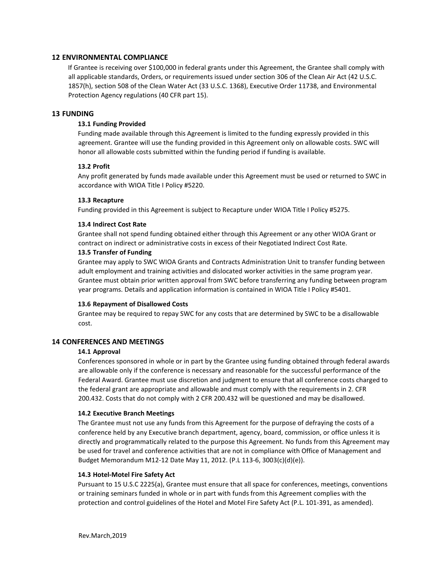## **12 ENVIRONMENTAL COMPLIANCE**

If Grantee is receiving over \$100,000 in federal grants under this Agreement, the Grantee shall comply with all applicable standards, Orders, or requirements issued under section 306 of the Clean Air Act (42 U.S.C. 1857(h), section 508 of the Clean Water Act (33 U.S.C. 1368), Executive Order 11738, and Environmental Protection Agency regulations (40 CFR part 15).

### **13 FUNDING**

### **13.1 Funding Provided**

Funding made available through this Agreement is limited to the funding expressly provided in this agreement. Grantee will use the funding provided in this Agreement only on allowable costs. SWC will honor all allowable costs submitted within the funding period if funding is available.

### **13.2 Profit**

Any profit generated by funds made available under this Agreement must be used or returned to SWC in accordance with WIOA Title I Policy #5220.

### **13.3 Recapture**

Funding provided in this Agreement is subject to Recapture under WIOA Title I Policy #5275.

### **13.4 Indirect Cost Rate**

Grantee shall not spend funding obtained either through this Agreement or any other WIOA Grant or contract on indirect or administrative costs in excess of their Negotiated Indirect Cost Rate.

### **13.5 Transfer of Funding**

Grantee may apply to SWC WIOA Grants and Contracts Administration Unit to transfer funding between adult employment and training activities and dislocated worker activities in the same program year. Grantee must obtain prior written approval from SWC before transferring any funding between program year programs. Details and application information is contained in WIOA Title I Policy #5401.

### **13.6 Repayment of Disallowed Costs**

Grantee may be required to repay SWC for any costs that are determined by SWC to be a disallowable cost.

### **14 CONFERENCES AND MEETINGS**

#### **14.1 Approval**

Conferences sponsored in whole or in part by the Grantee using funding obtained through federal awards are allowable only if the conference is necessary and reasonable for the successful performance of the Federal Award. Grantee must use discretion and judgment to ensure that all conference costs charged to the federal grant are appropriate and allowable and must comply with the requirements in 2. CFR 200.432. Costs that do not comply with 2 CFR 200.432 will be questioned and may be disallowed.

### **14.2 Executive Branch Meetings**

The Grantee must not use any funds from this Agreement for the purpose of defraying the costs of a conference held by any Executive branch department, agency, board, commission, or office unless it is directly and programmatically related to the purpose this Agreement. No funds from this Agreement may be used for travel and conference activities that are not in compliance with Office of Management and Budget Memorandum M12-12 Date May 11, 2012. (P.L 113-6, 3003(c)(d)(e)).

#### **14.3 Hotel-Motel Fire Safety Act**

Pursuant to 15 U.S.C 2225(a), Grantee must ensure that all space for conferences, meetings, conventions or training seminars funded in whole or in part with funds from this Agreement complies with the protection and control guidelines of the Hotel and Motel Fire Safety Act (P.L. 101-391, as amended).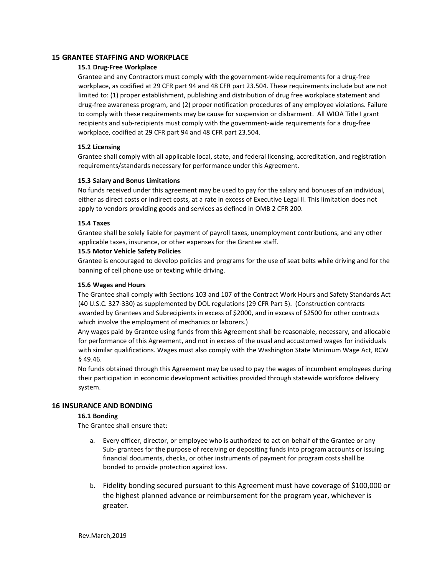## **15 GRANTEE STAFFING AND WORKPLACE**

## **15.1 Drug-Free Workplace**

Grantee and any Contractors must comply with the government-wide requirements for a drug-free workplace, as codified at 29 CFR part 94 and 48 CFR part 23.504. These requirements include but are not limited to: (1) proper establishment, publishing and distribution of drug free workplace statement and drug-free awareness program, and (2) proper notification procedures of any employee violations. Failure to comply with these requirements may be cause for suspension or disbarment. All WIOA Title I grant recipients and sub-recipients must comply with the government-wide requirements for a drug-free workplace, codified at 29 CFR part 94 and 48 CFR part 23.504.

### **15.2 Licensing**

Grantee shall comply with all applicable local, state, and federal licensing, accreditation, and registration requirements/standards necessary for performance under this Agreement.

### **15.3 Salary and Bonus Limitations**

No funds received under this agreement may be used to pay for the salary and bonuses of an individual, either as direct costs or indirect costs, at a rate in excess of Executive Legal II. This limitation does not apply to vendors providing goods and services as defined in OMB 2 CFR 200.

### **15.4 Taxes**

Grantee shall be solely liable for payment of payroll taxes, unemployment contributions, and any other applicable taxes, insurance, or other expenses for the Grantee staff.

### **15.5 Motor Vehicle Safety Policies**

Grantee is encouraged to develop policies and programs for the use of seat belts while driving and for the banning of cell phone use or texting while driving.

## **15.6 Wages and Hours**

The Grantee shall comply with Sections 103 and 107 of the Contract Work Hours and Safety Standards Act (40 U.S.C. 327-330) as supplemented by DOL regulations (29 CFR Part 5). (Construction contracts awarded by Grantees and Subrecipients in excess of \$2000, and in excess of \$2500 for other contracts which involve the employment of mechanics or laborers.)

Any wages paid by Grantee using funds from this Agreement shall be reasonable, necessary, and allocable for performance of this Agreement, and not in excess of the usual and accustomed wages for individuals with similar qualifications. Wages must also comply with the Washington State Minimum Wage Act, RCW § 49.46.

No funds obtained through this Agreement may be used to pay the wages of incumbent employees during their participation in economic development activities provided through statewide workforce delivery system.

## **16 INSURANCE AND BONDING**

## **16.1 Bonding**

The Grantee shall ensure that:

- a. Every officer, director, or employee who is authorized to act on behalf of the Grantee or any Sub- grantees for the purpose of receiving or depositing funds into program accounts or issuing financial documents, checks, or other instruments of payment for program costs shall be bonded to provide protection against loss.
- b. Fidelity bonding secured pursuant to this Agreement must have coverage of \$100,000 or the highest planned advance or reimbursement for the program year, whichever is greater.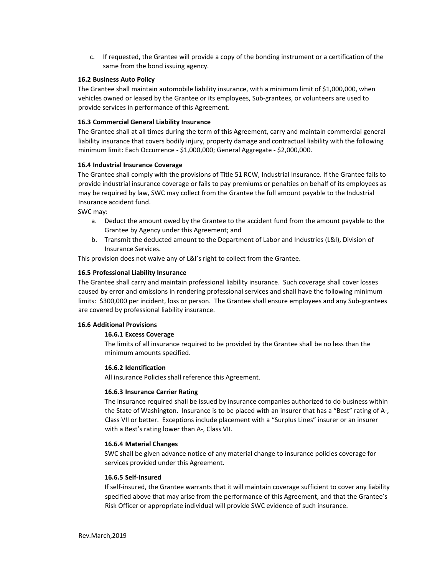c. If requested, the Grantee will provide a copy of the bonding instrument or a certification of the same from the bond issuing agency.

### **16.2 Business Auto Policy**

The Grantee shall maintain automobile liability insurance, with a minimum limit of \$1,000,000, when vehicles owned or leased by the Grantee or its employees, Sub-grantees, or volunteers are used to provide services in performance of this Agreement.

## **16.3 Commercial General Liability Insurance**

The Grantee shall at all times during the term of this Agreement, carry and maintain commercial general liability insurance that covers bodily injury, property damage and contractual liability with the following minimum limit: Each Occurrence - \$1,000,000; General Aggregate - \$2,000,000.

### **16.4 Industrial Insurance Coverage**

The Grantee shall comply with the provisions of Title 51 RCW, Industrial Insurance. If the Grantee fails to provide industrial insurance coverage or fails to pay premiums or penalties on behalf of its employees as may be required by law, SWC may collect from the Grantee the full amount payable to the Industrial Insurance accident fund.

SWC may:

- a. Deduct the amount owed by the Grantee to the accident fund from the amount payable to the Grantee by Agency under this Agreement; and
- b. Transmit the deducted amount to the Department of Labor and Industries (L&I), Division of Insurance Services.

This provision does not waive any of L&I's right to collect from the Grantee.

### **16.5 Professional Liability Insurance**

The Grantee shall carry and maintain professional liability insurance. Such coverage shall cover losses caused by error and omissions in rendering professional services and shall have the following minimum limits: \$300,000 per incident, loss or person. The Grantee shall ensure employees and any Sub-grantees are covered by professional liability insurance.

## **16.6 Additional Provisions**

## **16.6.1 Excess Coverage**

The limits of all insurance required to be provided by the Grantee shall be no less than the minimum amounts specified.

### **16.6.2 Identification**

All insurance Policies shall reference this Agreement.

### **16.6.3 Insurance Carrier Rating**

The insurance required shall be issued by insurance companies authorized to do business within the State of Washington. Insurance is to be placed with an insurer that has a "Best" rating of A-, Class VII or better. Exceptions include placement with a "Surplus Lines" insurer or an insurer with a Best's rating lower than A-, Class VII.

### **16.6.4 Material Changes**

SWC shall be given advance notice of any material change to insurance policies coverage for services provided under this Agreement.

### **16.6.5 Self-Insured**

If self-insured, the Grantee warrants that it will maintain coverage sufficient to cover any liability specified above that may arise from the performance of this Agreement, and that the Grantee's Risk Officer or appropriate individual will provide SWC evidence of such insurance.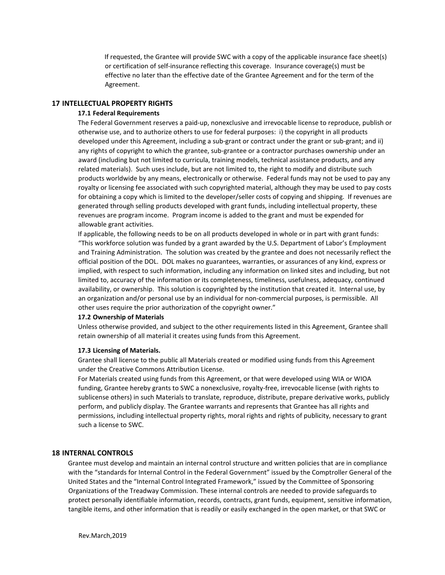If requested, the Grantee will provide SWC with a copy of the applicable insurance face sheet(s) or certification of self-insurance reflecting this coverage. Insurance coverage(s) must be effective no later than the effective date of the Grantee Agreement and for the term of the Agreement.

### **17 INTELLECTUAL PROPERTY RIGHTS**

### **17.1 Federal Requirements**

The Federal Government reserves a paid-up, nonexclusive and irrevocable license to reproduce, publish or otherwise use, and to authorize others to use for federal purposes: i) the copyright in all products developed under this Agreement, including a sub-grant or contract under the grant or sub-grant; and ii) any rights of copyright to which the grantee, sub-grantee or a contractor purchases ownership under an award (including but not limited to curricula, training models, technical assistance products, and any related materials). Such uses include, but are not limited to, the right to modify and distribute such products worldwide by any means, electronically or otherwise. Federal funds may not be used to pay any royalty or licensing fee associated with such copyrighted material, although they may be used to pay costs for obtaining a copy which is limited to the developer/seller costs of copying and shipping. If revenues are generated through selling products developed with grant funds, including intellectual property, these revenues are program income. Program income is added to the grant and must be expended for allowable grant activities.

If applicable, the following needs to be on all products developed in whole or in part with grant funds: "This workforce solution was funded by a grant awarded by the U.S. Department of Labor's Employment and Training Administration. The solution was created by the grantee and does not necessarily reflect the official position of the DOL. DOL makes no guarantees, warranties, or assurances of any kind, express or implied, with respect to such information, including any information on linked sites and including, but not limited to, accuracy of the information or its completeness, timeliness, usefulness, adequacy, continued availability, or ownership. This solution is copyrighted by the institution that created it. Internal use, by an organization and/or personal use by an individual for non-commercial purposes, is permissible. All other uses require the prior authorization of the copyright owner."

#### **17.2 Ownership of Materials**

Unless otherwise provided, and subject to the other requirements listed in this Agreement, Grantee shall retain ownership of all material it creates using funds from this Agreement.

#### **17.3 Licensing of Materials.**

Grantee shall license to the public all Materials created or modified using funds from this Agreement under the Creative Commons Attribution License.

For Materials created using funds from this Agreement, or that were developed using WIA or WIOA funding, Grantee hereby grants to SWC a nonexclusive, royalty-free, irrevocable license (with rights to sublicense others) in such Materials to translate, reproduce, distribute, prepare derivative works, publicly perform, and publicly display. The Grantee warrants and represents that Grantee has all rights and permissions, including intellectual property rights, moral rights and rights of publicity, necessary to grant such a license to SWC.

### **18 INTERNAL CONTROLS**

Grantee must develop and maintain an internal control structure and written policies that are in compliance with the "standards for Internal Control in the Federal Government" issued by the Comptroller General of the United States and the "Internal Control Integrated Framework," issued by the Committee of Sponsoring Organizations of the Treadway Commission. These internal controls are needed to provide safeguards to protect personally identifiable information, records, contracts, grant funds, equipment, sensitive information, tangible items, and other information that is readily or easily exchanged in the open market, or that SWC or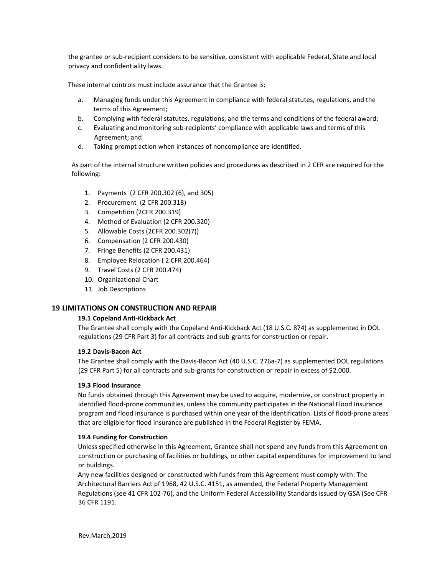the grantee or sub-recipient considers to be sensitive, consistent with applicable Federal, State and local privacy and confidentiality laws.

These internal controls must include assurance that the Grantee is:

- a. Managing funds under this Agreement in compliance with federal statutes, regulations, and the terms of this Agreement;
- b. Complying with federal statutes, regulations, and the terms and conditions of the federal award;
- c. Evaluating and monitoring sub-recipients' compliance with applicable laws and terms of this Agreement; and
- d. Taking prompt action when instances of noncompliance are identified.

As part of the internal structure written policies and procedures as described in 2 CFR are required for the following:

- 1. Payments (2 CFR 200.302 (6), and 305)
- 2. Procurement (2 CFR 200.318)
- 3. Competition (2CFR 200.319)
- 4. Method of Evaluation (2 CFR 200.320)
- 5. Allowable Costs (2CFR 200.302(7))
- 6. Compensation (2 CFR 200.430)
- 7. Fringe Benefits (2 CFR 200.431)
- 8. Employee Relocation ( 2 CFR 200.464)
- 9. Travel Costs (2 CFR 200.474)
- 10. Organizational Chart
- 11. Job Descriptions

## **19 LIMITATIONS ON CONSTRUCTION AND REPAIR**

## **19.1 Copeland Anti-Kickback Act**

The Grantee shall comply with the Copeland Anti-Kickback Act (18 U.S.C. 874) as supplemented in DOL regulations (29 CFR Part 3) for all contracts and sub-grants for construction or repair.

## **19.2 Davis-Bacon Act**

The Grantee shall comply with the Davis-Bacon Act (40 U.S.C. 276a-7) as supplemented DOL regulations (29 CFR Part 5) for all contracts and sub-grants for construction or repair in excess of \$2,000.

## **19.3 Flood Insurance**

No funds obtained through this Agreement may be used to acquire, modernize, or construct property in identified flood-prone communities, unless the community participates in the National Flood Insurance program and flood insurance is purchased within one year of the identification. Lists of flood-prone areas that are eligible for flood insurance are published in the Federal Register by FEMA.

## **19.4 Funding for Construction**

Unless specified otherwise in this Agreement, Grantee shall not spend any funds from this Agreement on construction or purchasing of facilities or buildings, or other capital expenditures for improvement to land or buildings.

Any new facilities designed or constructed with funds from this Agreement must comply with: The Architectural Barriers Act pf 1968, 42 U.S.C. 4151, as amended, the Federal Property Management Regulations (see 41 CFR 102-76), and the Uniform Federal Accessibility Standards issued by GSA (See CFR 36 CFR 1191.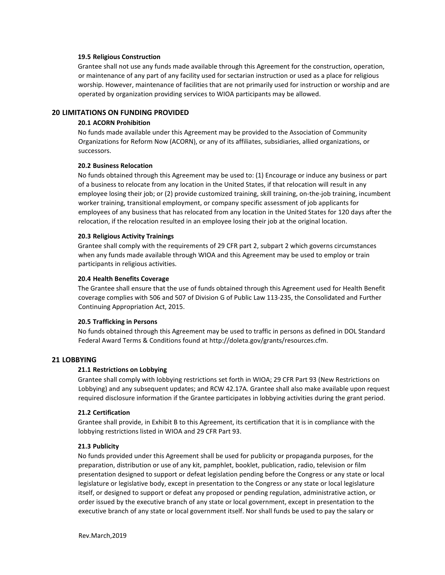#### **19.5 Religious Construction**

Grantee shall not use any funds made available through this Agreement for the construction, operation, or maintenance of any part of any facility used for sectarian instruction or used as a place for religious worship. However, maintenance of facilities that are not primarily used for instruction or worship and are operated by organization providing services to WIOA participants may be allowed.

### **20 LIMITATIONS ON FUNDING PROVIDED**

### **20.1 ACORN Prohibition**

No funds made available under this Agreement may be provided to the Association of Community Organizations for Reform Now (ACORN), or any of its affiliates, subsidiaries, allied organizations, or successors.

#### **20.2 Business Relocation**

No funds obtained through this Agreement may be used to: (1) Encourage or induce any business or part of a business to relocate from any location in the United States, if that relocation will result in any employee losing their job; or (2) provide customized training, skill training, on-the-job training, incumbent worker training, transitional employment, or company specific assessment of job applicants for employees of any business that has relocated from any location in the United States for 120 days after the relocation, if the relocation resulted in an employee losing their job at the original location.

#### **20.3 Religious Activity Trainings**

Grantee shall comply with the requirements of 29 CFR part 2, subpart 2 which governs circumstances when any funds made available through WIOA and this Agreement may be used to employ or train participants in religious activities.

#### **20.4 Health Benefits Coverage**

The Grantee shall ensure that the use of funds obtained through this Agreement used for Health Benefit coverage complies with 506 and 507 of Division G of Public Law 113-235, the Consolidated and Further Continuing Appropriation Act, 2015.

### **20.5 Trafficking in Persons**

No funds obtained through this Agreement may be used to traffic in persons as defined in DOL Standard Federal Award Terms & Conditions found at http://doleta.gov/grants/resources.cfm.

#### **21 LOBBYING**

### **21.1 Restrictions on Lobbying**

Grantee shall comply with lobbying restrictions set forth in WIOA; 29 CFR Part 93 (New Restrictions on Lobbying) and any subsequent updates; and RCW 42.17A. Grantee shall also make available upon request required disclosure information if the Grantee participates in lobbying activities during the grant period.

#### **21.2 Certification**

Grantee shall provide, in Exhibit B to this Agreement, its certification that it is in compliance with the lobbying restrictions listed in WIOA and 29 CFR Part 93.

#### **21.3 Publicity**

No funds provided under this Agreement shall be used for publicity or propaganda purposes, for the preparation, distribution or use of any kit, pamphlet, booklet, publication, radio, television or film presentation designed to support or defeat legislation pending before the Congress or any state or local legislature or legislative body, except in presentation to the Congress or any state or local legislature itself, or designed to support or defeat any proposed or pending regulation, administrative action, or order issued by the executive branch of any state or local government, except in presentation to the executive branch of any state or local government itself. Nor shall funds be used to pay the salary or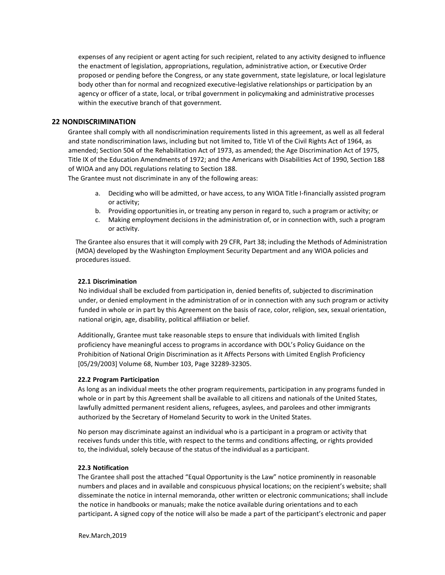expenses of any recipient or agent acting for such recipient, related to any activity designed to influence the enactment of legislation, appropriations, regulation, administrative action, or Executive Order proposed or pending before the Congress, or any state government, state legislature, or local legislature body other than for normal and recognized executive-legislative relationships or participation by an agency or officer of a state, local, or tribal government in policymaking and administrative processes within the executive branch of that government.

## **22 NONDISCRIMINATION**

Grantee shall comply with all nondiscrimination requirements listed in this agreement, as well as all federal and state nondiscrimination laws, including but not limited to, Title VI of the Civil Rights Act of 1964, as amended; Section 504 of the Rehabilitation Act of 1973, as amended; the Age Discrimination Act of 1975, Title IX of the Education Amendments of 1972; and the Americans with Disabilities Act of 1990, Section 188 of WIOA and any DOL regulations relating to Section 188.

The Grantee must not discriminate in any of the following areas:

- a. Deciding who will be admitted, or have access, to any WIOA Title I-financially assisted program or activity;
- b. Providing opportunities in, or treating any person in regard to, such a program or activity; or
- c. Making employment decisions in the administration of, or in connection with, such a program or activity.

The Grantee also ensures that it will comply with 29 CFR, Part 38; including the Methods of Administration (MOA) developed by the Washington Employment Security Department and any WIOA policies and procedures issued.

### **22.1 Discrimination**

No individual shall be excluded from participation in, denied benefits of, subjected to discrimination under, or denied employment in the administration of or in connection with any such program or activity funded in whole or in part by this Agreement on the basis of race, color, religion, sex, sexual orientation, national origin, age, disability, political affiliation or belief.

Additionally, Grantee must take reasonable steps to ensure that individuals with limited English proficiency have meaningful access to programs in accordance with DOL's Policy Guidance on the Prohibition of National Origin Discrimination as it Affects Persons with Limited English Proficiency [05/29/2003] Volume 68, Number 103, Page 32289-32305.

### **22.2 Program Participation**

As long as an individual meets the other program requirements, participation in any programs funded in whole or in part by this Agreement shall be available to all citizens and nationals of the United States, lawfully admitted permanent resident aliens, refugees, asylees, and parolees and other immigrants authorized by the Secretary of Homeland Security to work in the United States.

No person may discriminate against an individual who is a participant in a program or activity that receives funds under this title, with respect to the terms and conditions affecting, or rights provided to, the individual, solely because of the status of the individual as a participant.

## **22.3 Notification**

The Grantee shall post the attached "Equal Opportunity is the Law" notice prominently in reasonable numbers and places and in available and conspicuous physical locations; on the recipient's website; shall disseminate the notice in internal memoranda, other written or electronic communications; shall include the notice in handbooks or manuals; make the notice available during orientations and to each participant**.** A signed copy of the notice will also be made a part of the participant's electronic and paper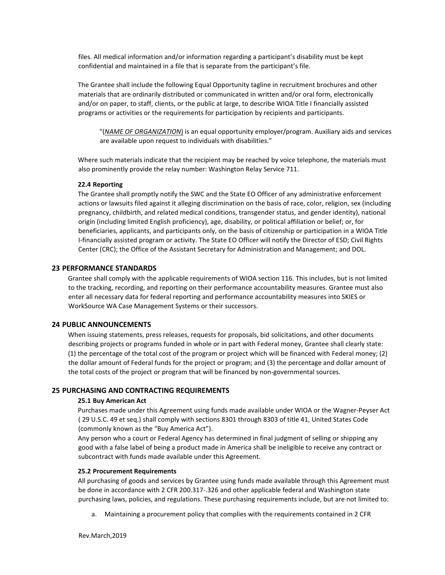files. All medical information and/or information regarding a participant's disability must be kept confidential and maintained in a file that is separate from the participant's file.

The Grantee shall include the following Equal Opportunity tagline in recruitment brochures and other materials that are ordinarily distributed or communicated in written and/or oral form, electronically and/or on paper, to staff, clients, or the public at large, to describe WIOA Title I financially assisted programs or activities or the requirements for participation by recipients and participants.

"(*NAME OF ORGANIZATION*) is an equal opportunity employer/program. Auxiliary aids and services are available upon request to individuals with disabilities."

Where such materials indicate that the recipient may be reached by voice telephone, the materials must also prominently provide the relay number: Washington Relay Service 711.

#### **22.4 Reporting**

The Grantee shall promptly notify the SWC and the State EO Officer of any administrative enforcement actions or lawsuits filed against it alleging discrimination on the basis of race, color, religion, sex (including pregnancy, childbirth, and related medical conditions, transgender status, and gender identity), national origin (including limited English proficiency), age, disability, or political affiliation or belief; or, for beneficiaries, applicants, and participants only, on the basis of citizenship or participation in a WIOA Title I-financially assisted program or activity. The State EO Officer will notify the Director of ESD; Civil Rights Center (CRC); the Office of the Assistant Secretary for Administration and Management; and DOL.

### **23 PERFORMANCE STANDARDS**

Grantee shall comply with the applicable requirements of WIOA section 116. This includes, but is not limited to the tracking, recording, and reporting on their performance accountability measures. Grantee must also enter all necessary data for federal reporting and performance accountability measures into SKIES or WorkSource WA Case Management Systems or their successors.

### **24 PUBLIC ANNOUNCEMENTS**

When issuing statements, press releases, requests for proposals, bid solicitations, and other documents describing projects or programs funded in whole or in part with Federal money, Grantee shall clearly state: (1) the percentage of the total cost of the program or project which will be financed with Federal money; (2) the dollar amount of Federal funds for the project or program; and (3) the percentage and dollar amount of the total costs of the project or program that will be financed by non-governmental sources.

### **25 PURCHASING AND CONTRACTING REQUIREMENTS**

#### **25.1 Buy American Act**

Purchases made under this Agreement using funds made available under WIOA or the Wagner-Peyser Act ( 29 U.S.C. 49 et seq.) shall comply with sections 8301 through 8303 of title 41, United States Code (commonly known as the "Buy America Act").

Any person who a court or Federal Agency has determined in final judgment of selling or shipping any good with a false label of being a product made in America shall be ineligible to receive any contract or subcontract with funds made available under this Agreement.

### **25.2 Procurement Requirements**

All purchasing of goods and services by Grantee using funds made available through this Agreement must be done in accordance with 2 CFR 200.317-.326 and other applicable federal and Washington state purchasing laws, policies, and regulations. These purchasing requirements include, but are not limited to:

a. Maintaining a procurement policy that complies with the requirements contained in 2 CFR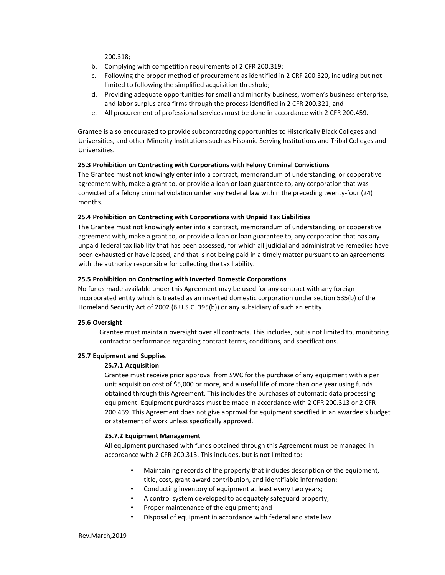200.318;

- b. Complying with competition requirements of 2 CFR 200.319;
- c. Following the proper method of procurement as identified in 2 CRF 200.320, including but not limited to following the simplified acquisition threshold;
- d. Providing adequate opportunities for small and minority business, women's business enterprise, and labor surplus area firms through the process identified in 2 CFR 200.321; and
- e. All procurement of professional services must be done in accordance with 2 CFR 200.459.

Grantee is also encouraged to provide subcontracting opportunities to Historically Black Colleges and Universities, and other Minority Institutions such as Hispanic-Serving Institutions and Tribal Colleges and Universities.

### **25.3 Prohibition on Contracting with Corporations with Felony Criminal Convictions**

The Grantee must not knowingly enter into a contract, memorandum of understanding, or cooperative agreement with, make a grant to, or provide a loan or loan guarantee to, any corporation that was convicted of a felony criminal violation under any Federal law within the preceding twenty-four (24) months.

### **25.4 Prohibition on Contracting with Corporations with Unpaid Tax Liabilities**

The Grantee must not knowingly enter into a contract, memorandum of understanding, or cooperative agreement with, make a grant to, or provide a loan or loan guarantee to, any corporation that has any unpaid federal tax liability that has been assessed, for which all judicial and administrative remedies have been exhausted or have lapsed, and that is not being paid in a timely matter pursuant to an agreements with the authority responsible for collecting the tax liability.

### **25.5 Prohibition on Contracting with Inverted Domestic Corporations**

No funds made available under this Agreement may be used for any contract with any foreign incorporated entity which is treated as an inverted domestic corporation under section 535(b) of the Homeland Security Act of 2002 (6 U.S.C. 395(b)) or any subsidiary of such an entity.

## **25.6 Oversight**

Grantee must maintain oversight over all contracts. This includes, but is not limited to, monitoring contractor performance regarding contract terms, conditions, and specifications.

### **25.7 Equipment and Supplies**

## **25.7.1 Acquisition**

Grantee must receive prior approval from SWC for the purchase of any equipment with a per unit acquisition cost of \$5,000 or more, and a useful life of more than one year using funds obtained through this Agreement. This includes the purchases of automatic data processing equipment. Equipment purchases must be made in accordance with 2 CFR 200.313 or 2 CFR 200.439. This Agreement does not give approval for equipment specified in an awardee's budget or statement of work unless specifically approved.

### **25.7.2 Equipment Management**

All equipment purchased with funds obtained through this Agreement must be managed in accordance with 2 CFR 200.313. This includes, but is not limited to:

- Maintaining records of the property that includes description of the equipment, title, cost, grant award contribution, and identifiable information;
- Conducting inventory of equipment at least every two years;
- A control system developed to adequately safeguard property;
- Proper maintenance of the equipment; and
- Disposal of equipment in accordance with federal and state law.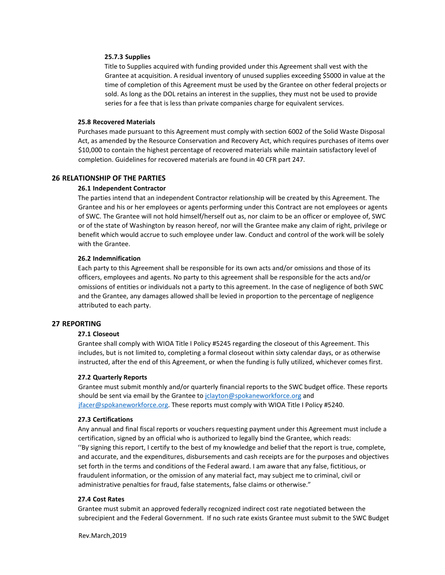#### **25.7.3 Supplies**

Title to Supplies acquired with funding provided under this Agreement shall vest with the Grantee at acquisition. A residual inventory of unused supplies exceeding \$5000 in value at the time of completion of this Agreement must be used by the Grantee on other federal projects or sold. As long as the DOL retains an interest in the supplies, they must not be used to provide series for a fee that is less than private companies charge for equivalent services.

#### **25.8 Recovered Materials**

Purchases made pursuant to this Agreement must comply with section 6002 of the Solid Waste Disposal Act, as amended by the Resource Conservation and Recovery Act, which requires purchases of items over \$10,000 to contain the highest percentage of recovered materials while maintain satisfactory level of completion. Guidelines for recovered materials are found in 40 CFR part 247.

#### **26 RELATIONSHIP OF THE PARTIES**

#### **26.1 Independent Contractor**

The parties intend that an independent Contractor relationship will be created by this Agreement. The Grantee and his or her employees or agents performing under this Contract are not employees or agents of SWC. The Grantee will not hold himself/herself out as, nor claim to be an officer or employee of, SWC or of the state of Washington by reason hereof, nor will the Grantee make any claim of right, privilege or benefit which would accrue to such employee under law. Conduct and control of the work will be solely with the Grantee.

#### **26.2 Indemnification**

Each party to this Agreement shall be responsible for its own acts and/or omissions and those of its officers, employees and agents. No party to this agreement shall be responsible for the acts and/or omissions of entities or individuals not a party to this agreement. In the case of negligence of both SWC and the Grantee, any damages allowed shall be levied in proportion to the percentage of negligence attributed to each party.

### **27 REPORTING**

### **27.1 Closeout**

Grantee shall comply with WIOA Title I Policy #5245 regarding the closeout of this Agreement. This includes, but is not limited to, completing a formal closeout within sixty calendar days, or as otherwise instructed, after the end of this Agreement, or when the funding is fully utilized, whichever comes first.

#### **27.2 Quarterly Reports**

Grantee must submit monthly and/or quarterly financial reports to the SWC budget office. These reports should be sent via email by the Grantee to jolayton@spokaneworkforce.org and jfacer@spokaneworkforce.org. These reports must comply with WIOA Title I Policy #5240.

#### **27.3 Certifications**

Any annual and final fiscal reports or vouchers requesting payment under this Agreement must include a certification, signed by an official who is authorized to legally bind the Grantee, which reads: ''By signing this report, I certify to the best of my knowledge and belief that the report is true, complete, and accurate, and the expenditures, disbursements and cash receipts are for the purposes and objectives set forth in the terms and conditions of the Federal award. I am aware that any false, fictitious, or fraudulent information, or the omission of any material fact, may subject me to criminal, civil or administrative penalties for fraud, false statements, false claims or otherwise."

#### **27.4 Cost Rates**

Grantee must submit an approved federally recognized indirect cost rate negotiated between the subrecipient and the Federal Government. If no such rate exists Grantee must submit to the SWC Budget